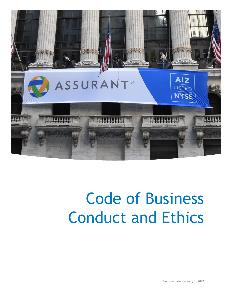

# Code of Business Conduct and Ethics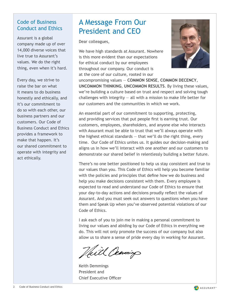#### Code of Business Conduct and Ethics

Assurant is a global company made up of over 14,000 diverse voices that live true to Assurant's values. We do the right thing, even when it's hard.

Every day, we strive to raise the bar on what it means to do business honestly and ethically, and it's our commitment to do so with each other, our business partners and our customers. Our Code of Business Conduct and Ethics provides a framework to make that happen. It's our shared commitment to operate with integrity and act ethically.

# A Message From Our President and CEO

Dear colleagues,

We have high standards at Assurant. Nowhere is this more evident than our expectations for ethical conduct by our employees throughout our company. Our conduct is at the core of our culture, rooted in our



uncompromising values — **COMMON SENSE**, **COMMON DECENCY**, **UNCOMMON THINKING**, **UNCOMMON RESULTS**. By living these values, we're building a culture based on trust and respect and solving tough challenges with integrity  $-$  all with a mission to make life better for our customers and the communities in which we work.

An essential part of our commitment to supporting, protecting, and providing services that put people first is earning trust. Our customers, employees, shareholders, and anyone else who interacts with Assurant must be able to trust that we'll always operate with the highest ethical standards  $-$  that we'll do the right thing, every time. Our Code of Ethics unites us. It guides our decision-making and aligns us in how we'll interact with one another and our customers to demonstrate our shared belief in relentlessly building a better future.

There's no one better positioned to help us stay consistent and true to our values than you. This Code of Ethics will help you become familiar with the policies and principles that define how we do business and help you make decisions consistent with them. Every employee is expected to read and understand our Code of Ethics to ensure that your day-to-day actions and decisions proudly reflect the values of Assurant. And you must seek out answers to questions when you have them and Speak Up when you've observed potential violations of our Code of Ethics.

I ask each of you to join me in making a personal commitment to living our values and abiding by our Code of Ethics in everything we do. This will not only promote the success of our company but also allow us to share a sense of pride every day in working for Assurant.

Veill Cemming

Keith Demmings President and Chief Executive Officer

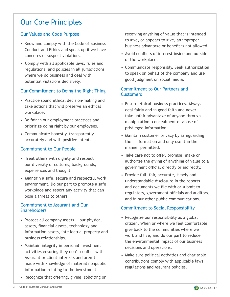## Our Core Principles

#### Our Values and Code Purpose

- Know and comply with the Code of Business Conduct and Ethics and speak up if we have concerns or suspect violations.
- Comply with all applicable laws, rules and regulations, and policies in all jurisdictions where we do business and deal with potential violations decisively.

#### Our Commitment to Doing the Right Thing

- Practice sound ethical decision-making and take actions that will preserve an ethical workplace.
- Be fair in our employment practices and prioritize doing right by our employees.
- Communicate honestly, transparently, accurately and with positive intent.

#### Commitment to Our People

- Treat others with dignity and respect our diversity of cultures, backgrounds, experiences and thought.
- Maintain a safe, secure and respectful work environment. Do our part to promote a safe workplace and report any activity that can pose a threat to others.

#### Commitment to Assurant and Our **Shareholders**

- Protect all company assets  $-$  our physical assets, financial assets, technology and information assets, intellectual property and business relationships.
- Maintain integrity in personal investment activities ensuring they don't conflict with Assurant or client interests and aren't made with knowledge of material nonpublic information relating to the investment.
- Recognize that offering, giving, soliciting or

receiving anything of value that is intended to give, or appears to give, an improper business advantage or benefit is not allowed.

- Avoid conflicts of interest inside and outside of the workplace.
- Communicate responsibly. Seek authorization to speak on behalf of the company and use good judgment on social media.

#### Commitment to Our Partners and **Customers**

- Ensure ethical business practices. Always deal fairly and in good faith and never take unfair advantage of anyone through manipulation, concealment or abuse of privileged information.
- Maintain customer privacy by safeguarding their information and only use it in the manner permitted.
- Take care not to offer, promise, make or authorize the giving of anything of value to a government official directly or indirectly.
- Provide full, fair, accurate, timely and understandable disclosure in the reports and documents we file with or submit to regulators, government officials and auditors, and in our other public communications.

#### Commitment to Social Responsibility

- Recognize our responsibility as a global citizen. When or where we feel comfortable, give back to the communities where we work and live, and do our part to reduce the environmental impact of our business decisions and operations.
- Make sure political activities and charitable contributions comply with applicable laws, regulations and Assurant policies.

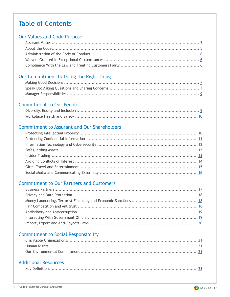### Table of Contents

#### Our Values and Code Purpose

#### Our Commitment to Doing the Right Thing

#### Commitment to Our People

### Commitment to Assurant and Our Shareholders

#### Commitment to Our Partners and Customers

### Commitment to Social Responsibility

#### Additional Resources

|--|

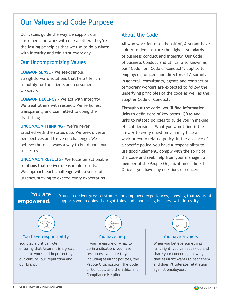### <span id="page-4-0"></span>Our Values and Code Purpose

Our values guide the way we support our customers and work with one another. They're the lasting principles that we use to do business with integrity and win trust every day.

#### Our Uncompromising Values

**COMMON SENSE** - We seek simple, straightforward solutions that help life run smoothly for the clients and consumers we serve.

**COMMON DECENCY** - We act with integrity. We treat others with respect. We're honest, transparent, and committed to doing the right thing.

**UNCOMMON THINKING** - We're never satisfied with the status quo. We seek diverse perspectives and thrive on challenge. We believe there's always a way to build upon our successes.

**UNCOMMON RESULTS** - We focus on actionable solutions that deliver measurable results. We approach each challenge with a sense of urgency, striving to exceed every expectation.

#### About the Code

All who work for, or on behalf of, Assurant have a duty to demonstrate the highest standards of business conduct and integrity. Our Code of Business Conduct and Ethics, also known as our "Code" or "Code of Conduct", applies to employees, officers and directors of Assurant. In general, consultants, agents and contract or temporary workers are expected to follow the underlying principles of the code as well as the Supplier Code of Conduct.

Throughout the code, you'll find information, links to definitions of key terms, Q&As and links to related policies to guide you in making ethical decisions. What you won't find is the answer to every question you may face at work or every related policy. In the absence of a specific policy, you have a responsibility to use good judgment, comply with the spirit of the code and seek help from your manager, a member of the People Organization or the Ethics Office if you have any questions or concerns.

#### **You are empowered.**

**Y**ou can deliver great customer and employee experiences, knowing that Assurant supports you in doing the right thing and conducting business with integrity.



#### You have responsibility. The You have help. The You have a voice.

You play a critical role in ensuring that Assurant is a great place to work and in protecting our culture, our reputation and our brand.



If you're unsure of what to do in a situation, you have resources available to you, including Assurant policies, the People Organization, the Code of Conduct, and the Ethics and Compliance Helpline.

When you believe something isn't right, you can speak up and share your concerns, knowing that Assurant wants to hear them and doesn't tolerate retaliation against employees.

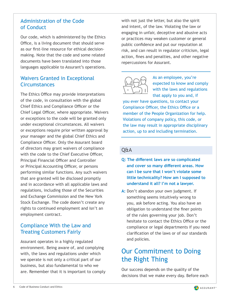#### <span id="page-5-0"></span>Administration of the Code of Conduct

Our code, which is administered by the Ethics Office, is a living document that should serve as our first-line resource for ethical decisionmaking. Note that the code and some related documents have been translated into those languages applicable to Assurant's operations.

#### Waivers Granted in Exceptional **Circumstances**

The Ethics Office may provide interpretations of the code, in consultation with the global Chief Ethics and Compliance Officer or the Chief Legal Officer, where appropriate. Waivers or exceptions to the code will be granted only under exceptional circumstances. All waivers or exceptions require prior written approval by your manager and the global Chief Ethics and Compliance Officer. Only the Assurant board of directors may grant waivers of compliance with the code to the Chief Executive Officer, Principal Financial Officer and Controller or Principal Accounting Officer, or persons performing similar functions. Any such waivers that are granted will be disclosed promptly and in accordance with all applicable laws and regulations, including those of the Securities and Exchange Commission and the New York Stock Exchange. The code doesn't create any rights to continued employment and isn't an employment contract.

#### Compliance With the Law and Treating Customers Fairly

Assurant operates in a highly regulated environment. Being aware of, and complying with, the laws and regulations under which we operate is not only a critical part of our business, but also fundamental to who we are. Remember that it is important to comply with not just the letter, but also the spirit and intent, of the law. Violating the law or engaging in unfair, deceptive and abusive acts or practices may weaken customer or general public confidence and put our reputation at risk, and can result in regulator criticism, legal action, fines and penalties, and other negative repercussions for Assurant.



As an employee, you're expected to know and comply with the laws and regulations that apply to you and, if

you ever have questions, to contact your Compliance Officer, the Ethics Office or a member of the People Organization for help. Violations of company policy, this code, or the law may result in appropriate disciplinary action, up to and including termination.

#### Q&A

- **Q: The different laws are so complicated and cover so many different areas. How can I be sure that I won't violate some little technicality? How am I supposed to understand it all? I'm not a lawyer.**
- **A:** Don't abandon your own judgment. If something seems intuitively wrong to you, ask before acting. You also have an obligation to understand the finer points of the rules governing your job. Don't hesitate to contact the Ethics Office or the compliance or legal departments if you need clarification of the laws or of our standards and policies.

### Our Commitment to Doing the Right Thing

Our success depends on the quality of the decisions that we make every day. Before each

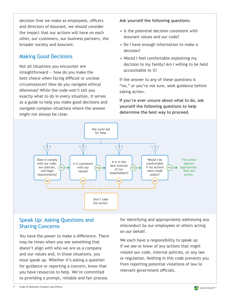<span id="page-6-0"></span>decision that we make as employees, officers and directors of Assurant, we should consider the impact that our actions will have on each other, our customers, our business partners, the broader society and Assurant.

#### Making Good Decisions

Not all situations you encounter are straightforward — how do you make the best choice when facing difficult or unclear circumstances? How do you navigate ethical dilemmas? While the code won't tell you exactly what to do in every situation, it serves as a guide to help you make good decisions and navigate complex situations where the answer might not always be clear.

**Ask yourself the following questions**:

- Is the potential decision consistent with Assurant values and our code?
- Do I have enough information to make a decision?
- Would I feel comfortable explaining my decision to my family? Am I willing to be held accountable to it?

If the answer to any of these questions is "no," or you're not sure, seek guidance before taking action.

**If you're ever unsure about what to do, ask yourself the following questions to help determine the best way to proceed.**



#### Speak Up: Asking Questions and Sharing Concerns

You have the power to make a difference. There may be times when you see something that doesn't align with who we are as a company and our values and, in those situations, you must speak up. Whether it's asking a question for guidance or reporting a concern, know that you have resources to help. We're committed to providing a prompt, reliable and fair process

for identifying and appropriately addressing any misconduct by our employees or others acting on our behalf.

We each have a responsibility to speak up if we see or know of any actions that might violate our code, internal policies, or any law or regulation. Nothing in this code prevents you from reporting potential violations of law to relevant government officials.

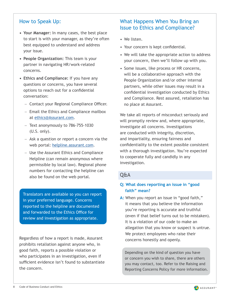#### How to Speak Up:

- **• Your Manager:** In many cases, the best place to start is with your manager, as they're often best equipped to understand and address your issue.
- **• People Organization:** This team is your partner in navigating HR/work-related concerns.
- **• Ethics and Compliance:** If you have any questions or concerns, you have several options to reach out for a confidential conversation:
	- − Contact your Regional Compliance Officer.
	- − Email the Ethics and Compliance mailbox at [ethics@Assurant.com](mailto:ethics%40Assurant.com?subject=Questions%20and%20Concerns).
	- − Text anonymously to 786-755-1030 (U.S. only).
	- − Ask a question or report a concern via the web portal: [helpline.assurant.com.](https://app.convercent.com/en-us/LandingPage/4ffe5c75-9d94-ea11-a974-000d3ab9f062)
	- − Use the Assurant Ethics and Compliance Helpline (can remain anonymous where permissible by local law). Regional phone numbers for contacting the helpline can also be found on the web portal.

Translators are available so you can report in your preferred language. Concerns reported to the helpline are documented and forwarded to the Ethics Office for review and investigation as appropriate.

Regardless of how a report is made, Assurant prohibits retaliation against anyone who, in good faith, reports a possible violation or who participates in an investigation, even if sufficient evidence isn't found to substantiate the concern.

#### What Happens When You Bring an Issue to Ethics and Compliance?

- We listen.
- Your concern is kept confidential.
- We will take the appropriate action to address your concern, then we'll follow up with you.
- Some issues, like process or HR concerns, will be a collaborative approach with the People Organization and/or other internal partners, while other issues may result in a confidential investigation conducted by Ethics and Compliance. Rest assured, retaliation has no place at Assurant.

We take all reports of misconduct seriously and will promptly review and, where appropriate, investigate all concerns. Investigations are conducted with integrity, discretion, and impartiality, ensuring fairness and confidentiality to the extent possible consistent with a thorough investigation. You're expected to cooperate fully and candidly in any investigation.

#### Q&A

#### **Q: What does reporting an issue in "good faith" mean?**

**A:** When you report an issue in "good faith," it means that you believe the information you're reporting is accurate and truthful (even if that belief turns out to be mistaken). It is a violation of our code to make an allegation that you know or suspect is untrue. We protect employees who raise their concerns honestly and openly.

Depending on the kind of question you have or concern you wish to share, there are others you may contact, too. Refer to the Raising and Reporting Concerns Policy for more information.

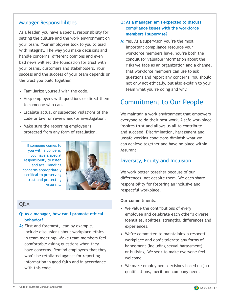#### <span id="page-8-0"></span>Manager Responsibilities

As a leader, you have a special responsibility for setting the culture and the work environment on your team. Your employees look to you to lead with integrity. The way you make decisions and handle concerns, different opinions and even bad news will set the foundation for trust with your teams, customers and stakeholders. Your success and the success of your team depends on the trust you build together.

- Familiarize yourself with the code.
- Help employees with questions or direct them to someone who can.
- Escalate actual or suspected violations of the code or law for review and/or investigation.
- Make sure the reporting employee is protected from any form of retaliation.

If someone comes to you with a concern, you have a special responsibility to listen and act. Handling concerns appropriately is critical to preserving trust and protecting Assurant.



#### Q&A

#### **Q: As a manager, how can I promote ethical behavior?**

A: First and foremost, lead by example. Include discussions about workplace ethics in team meetings. Make team members feel comfortable asking questions when they have concerns. Remind employees that they won't be retaliated against for reporting information in good faith and in accordance with this code.

#### **Q: As a manager, am I expected to discuss compliance issues with the workforce members I supervise?**

A: Yes. As a supervisor, you're the most important compliance resource your workforce members have. You're both the conduit for valuable information about the risks we face as an organization and a channel that workforce members can use to ask questions and report any concerns. You should not only act ethically, but also explain to your team what you're doing and why.

### Commitment to Our People

We maintain a work environment that empowers everyone to do their best work. A safe workplace inspires trust and allows us all to contribute and succeed. Discrimination, harassment and unsafe working conditions diminish what we can achieve together and have no place within Assurant.

#### Diversity, Equity and Inclusion

We work better together because of our differences, not despite them. We each share responsibility for fostering an inclusive and respectful workplace.

#### **Our commitments**:

- We value the contributions of every employee and celebrate each other's diverse identities, abilities, strengths, differences and experiences.
- We're committed to maintaining a respectful workplace and don't tolerate any forms of harassment (including sexual harassment) or bullying. We seek to make everyone feel welcome.
- We make employment decisions based on job qualifications, merit and company needs.

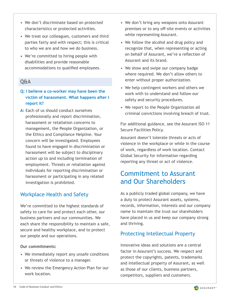- <span id="page-9-0"></span>• We don't discriminate based on protected characteristics or protected activities.
- We treat our colleagues, customers and third parties fairly and with respect; this is critical to who we are and how we do business.
- We're committed to hiring people with disabilities and provide reasonable accommodations to qualified employees.

#### Q&A

#### **Q: I believe a co-worker may have been the victim of harassment. What happens after I report it?**

A: Each of us should conduct ourselves professionally and report discrimination, harassment or retaliation concerns to management, the People Organization, or the Ethics and Compliance Helpline. Your concern will be investigated. Employees found to have engaged in discrimination or harassment will be subject to disciplinary action up to and including termination of employment. Threats or retaliation against individuals for reporting discrimination or harassment or participating in any related investigation is prohibited.

#### Workplace Health and Safety

We're committed to the highest standards of safety to care for and protect each other, our business partners and our communities. We each share the responsibility to maintain a safe, secure and healthy workplace, and to protect our people and our operations.

#### **Our commitments:**

- We immediately report any unsafe conditions or threats of violence to a manager.
- We review the Emergency Action Plan for our work location.
- We don't bring any weapons onto Assurant premises or to any off-site events or activities while representing Assurant.
- We follow the alcohol and drug policy and recognize that, when representing or acting on behalf of Assurant, we're a reflection of Assurant and its brand.
- We show and swipe our company badge where required. We don't allow others to enter without proper authorization.
- We help contingent workers and others we work with to understand and follow our safety and security procedures.
- We report to the People Organization all criminal convictions involving breach of trust.

For additional guidance, see the Assurant ISO 11 Secure Facilities Policy.

Assurant doesn't tolerate threats or acts of violence in the workplace or while in the course of work, regardless of work location. Contact Global Security for information regarding reporting any threat or act of violence.

### Commitment to Assurant and Our Shareholders

As a publicly traded global company, we have a duty to protect Assurant assets, systems, records, information, interests and our company name to maintain the trust our shareholders have placed in us and keep our company strong and thriving.

#### Protecting Intellectual Property

Innovative ideas and solutions are a central factor in Assurant's success. We respect and protect the copyrights, patents, trademarks and intellectual property of Assurant, as well as those of our clients, business partners, competitors, suppliers and customers.

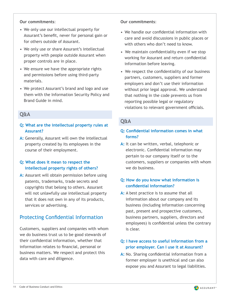#### <span id="page-10-0"></span>**Our commitments**:

- We only use our intellectual property for Assurant's benefit, never for personal gain or for others outside of Assurant.
- We only use or share Assurant's intellectual property with people outside Assurant when proper controls are in place.
- We ensure we have the appropriate rights and permissions before using third-party materials.
- We protect Assurant's brand and logo and use them with the Information Security Policy and Brand Guide in mind.

#### Q&A

#### **Q: What are the intellectual property rules at Assurant?**

**A:** Generally, Assurant will own the intellectual property created by its employees in the course of their employment.

#### **Q: What does it mean to respect the intellectual property rights of others?**

A: Assurant will obtain permission before using patents, trademarks, trade secrets and copyrights that belong to others. Assurant will not unlawfully use intellectual property that it does not own in any of its products, services or advertising.

#### Protecting Confidential Information

Customers, suppliers and companies with whom we do business trust us to be good stewards of their confidential information, whether that information relates to financial, personal or business matters. We respect and protect this data with care and diligence.

#### **Our commitments**:

- We handle our confidential information with care and avoid discussions in public places or with others who don't need to know.
- We maintain confidentiality even if we stop working for Assurant and return confidential information before leaving.
- We respect the confidentiality of our business partners, customers, suppliers and former employers and don't use their information without prior legal approval. We understand that nothing in the code prevents us from reporting possible legal or regulatory violations to relevant government officials.

#### Q&A

#### **Q: Confidential information comes in what forms?**

**A:** It can be written, verbal, telephonic or electronic. Confidential information may pertain to our company itself or to the customers, suppliers or companies with whom we do business.

#### **Q: How do you know what information is confidential information?**

A: A best practice is to assume that all information about our company and its business (including information concerning past, present and prospective customers, business partners, suppliers, directors and employees) is confidential unless the contrary is clear.

#### **Q: I have access to useful information from a prior employer. Can I use it at Assurant?**

**A:** No. Sharing confidential information from a former employer is unethical and can also expose you and Assurant to legal liabilities.

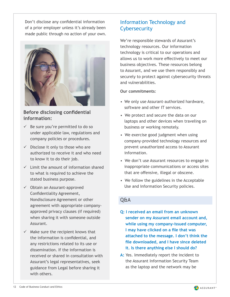<span id="page-11-0"></span>Don't disclose any confidential information of a prior employer unless it's already been made public through no action of your own.



#### **Before disclosing confidential information:**

- $\checkmark$  Be sure you're permitted to do so under applicable law, regulations and company policies or procedures.
- $\checkmark$  Disclose it only to those who are authorized to receive it and who need to know it to do their job.
- $\checkmark$  Limit the amount of information shared to what is required to achieve the stated business purpose.
- $\checkmark$  Obtain an Assurant-approved Confidentiality Agreement, Nondisclosure Agreement or other agreement with appropriate companyapproved privacy clauses (if required) when sharing it with someone outside Assurant.
- $\checkmark$  Make sure the recipient knows that the information is confidential, and any restrictions related to its use or dissemination. If the information is received or shared in consultation with Assurant's legal representatives, seek guidance from Legal before sharing it with others.

### Information Technology and **Cybersecurity**

We're responsible stewards of Assurant's technology resources. Our information technology is critical to our operations and allows us to work more effectively to meet our business objectives. These resources belong to Assurant, and we use them responsibly and securely to protect against cybersecurity threats and vulnerabilities.

#### **Our commitments**:

- We only use Assurant-authorized hardware, software and other IT services.
- We protect and secure the data on our laptops and other devices when traveling on business or working remotely.
- We exercise good judgment when using company-provided technology resources and prevent unauthorized access to Assurant information.
- We don't use Assurant resources to engage in inappropriate communications or access sites that are offensive, illegal or obscene.
- We follow the guidelines in the Acceptable Use and Information Security policies.

#### Q&A

- **Q: I received an email from an unknown sender on my Assurant email account and, while using my company-issued computer, I may have clicked on a file that was attached to the message. I don't think the file downloaded, and I have since deleted it. Is there anything else I should do?**
- **A:** Yes. Immediately report the incident to the Assurant Information Security Team as the laptop and the network may be

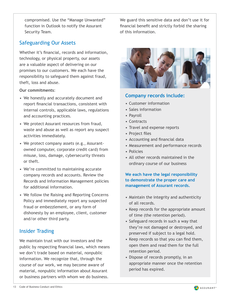<span id="page-12-0"></span>compromised. Use the "Manage Unwanted" function in Outlook to notify the Assurant Security Team.

#### Safeguarding Our Assets

Whether it's financial, records and information, technology, or physical property, our assets are a valuable aspect of delivering on our promises to our customers. We each have the responsibility to safeguard them against fraud, theft, loss and abuse.

#### **Our commitments**:

- We honestly and accurately document and report financial transactions, consistent with internal controls, applicable laws, regulations and accounting practices.
- We protect Assurant resources from fraud, waste and abuse as well as report any suspect activities immediately.
- We protect company assets (e.g., Assurantowned computer, corporate credit card) from misuse, loss, damage, cybersecurity threats or theft.
- We're committed to maintaining accurate company records and accounts. Review the Records and Information Management policies for additional information.
- We follow the Raising and Reporting Concerns Policy and immediately report any suspected fraud or embezzlement, or any form of dishonesty by an employee, client, customer and/or other third party.

#### Insider Trading

We maintain trust with our investors and the public by respecting financial laws, which means we don't trade based on material, nonpublic information. We recognize that, through the course of our work, we may become aware of material, nonpublic information about Assurant or business partners with whom we do business.

We guard this sensitive data and don't use it for financial benefit and strictly forbid the sharing of this information.



#### **Company records include:**

- Customer information
- Sales information
- Payroll
- Contracts
- Travel and expense reports
- Project files
- Accounting and financial data
- Measurement and performance records
- Policies
- All other records maintained in the ordinary course of our business

#### **We each have the legal responsibility to demonstrate the proper care and management of Assurant records.**

- Maintain the integrity and authenticity of all records.
- Keep records for the appropriate amount of time (the retention period).
- Safeguard records in such a way that they're not damaged or destroyed, and preserved if subject to a legal hold.
- Keep records so that you can find them, open them and read them for the full retention period.
- Dispose of records promptly, in an appropriate manner once the retention period has expired.

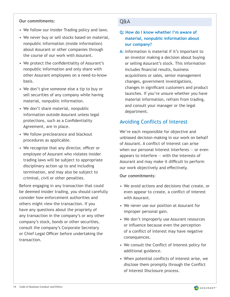#### <span id="page-13-0"></span>**Our commitments**:

- We follow our Insider Trading policy and laws.
- We never buy or sell stocks based on material, nonpublic information (inside information) about Assurant or other companies through the course of our work with Assurant.
- We protect the confidentiality of Assurant's nonpublic information and only share with other Assurant employees on a need-to-know basis.
- We don't give someone else a tip to buy or sell securities of any company while having material, nonpublic information.
- We don't share material, nonpublic information outside Assurant unless legal protections, such as a Confidentiality Agreement, are in place.
- We follow preclearance and blackout procedures as applicable.
- We recognize that any director, officer or employee of Assurant who violates insider trading laws will be subject to appropriate disciplinary action up to and including termination, and may also be subject to criminal, civil or other penalties.

Before engaging in any transaction that could be deemed insider trading, you should carefully consider how enforcement authorities and others might view the transaction. If you have any questions about the propriety of any transaction in the company's or any other company's stock, bonds or other securities, consult the company's Corporate Secretary or Chief Legal Officer before undertaking the transaction.

#### Q&A

#### **Q: How do I know whether I'm aware of material, nonpublic information about our company?**

**A:** Information is material if it's important to an investor making a decision about buying or selling Assurant's stock. This information includes financial results, business acquisitions or sales, senior management changes, government investigations, changes in significant customers and product launches. If you're unsure whether you have material information, refrain from trading, and consult your manager or the legal department.

#### Avoiding Conflicts of Interest

We're each responsible for objective and unbiased decision-making in our work on behalf of Assurant. A conflict of interest can arise when our personal interest interferes — or even appears to interfere — with the interests of Assurant and may make it difficult to perform our work objectively and effectively.

#### **Our commitments**:

- We avoid actions and decisions that create, or even appear to create, a conflict of interest with Assurant.
- We never use our position at Assurant for improper personal gain.
- We don't improperly use Assurant resources or influence because even the perception of a conflict of interest may have negative consequences.
- We consult the Conflict of Interest policy for additional guidance.
- When potential conflicts of interest arise, we disclose them promptly through the Conflict of Interest Disclosure process.

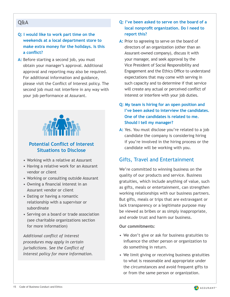#### <span id="page-14-0"></span>Q&A

#### **Q: I would like to work part time on the weekends at a local department store to make extra money for the holidays. Is this a conflict?**

A: Before starting a second job, you must obtain your manager's approval. Additional approval and reporting may also be required. For additional information and guidance, please visit the Conflict of Interest policy. The second job must not interfere in any way with your job performance at Assurant.



#### **Potential Conflict of Interest Situations to Disclose**

- Working with a relative at Assurant
- Having a relative work for an Assurant vendor or client
- Working or consulting outside Assurant
- Owning a financial interest in an Assurant vendor or client
- Dating or having a romantic relationship with a supervisor or subordinate
- Serving on a board or trade association (see charitable organizations section for more information)

*Additional conflict of interest procedures may apply in certain jurisdictions. See the Conflict of Interest policy for more information.*

#### **Q: I've been asked to serve on the board of a local nonprofit organization. Do I need to report this?**

- A: Prior to agreeing to serve on the board of directors of an organization (other than an Assurant-owned company), discuss it with your manager, and seek approval by the Vice President of Social Responsibility and Engagement and the Ethics Office to understand expectations that may come with serving in such capacity and to determine if that service will create any actual or perceived conflict of interest or interfere with your job duties.
- **Q: My team is hiring for an open position and I've been asked to interview the candidates. One of the candidates is related to me. Should I tell my manager?**
- **A:** Yes. You must disclose you're related to a job candidate the company is considering hiring if you're involved in the hiring process or the candidate will be working with you.

### Gifts, Travel and Entertainment

We're committed to winning business on the quality of our products and service. Business gratuities, which include anything of value, such as gifts, meals or entertainment, can strengthen working relationships with our business partners. But gifts, meals or trips that are extravagant or lack transparency or a legitimate purpose may be viewed as bribes or as simply inappropriate, and erode trust and harm our business.

#### **Our commitments**:

- We don't give or ask for business gratuities to influence the other person or organization to do something in return.
- We limit giving or receiving business gratuities to what is reasonable and appropriate under the circumstances and avoid frequent gifts to or from the same person or organization.

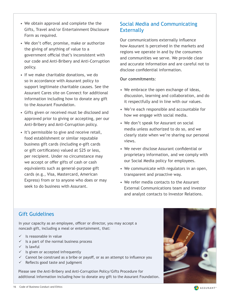- <span id="page-15-0"></span>• We obtain approval and complete the the Gifts, Travel and/or Entertainment Disclosure Form as required.
- We don't offer, promise, make or authorize the giving of anything of value to a government official that's inconsistent with our code and Anti-Bribery and Anti-Corruption policy.
- If we make charitable donations, we do so in accordance with Assurant policy to support legitimate charitable causes. See the Assurant Cares site on Connect for additional information including how to donate any gift to the Assurant Foundation.
- Gifts given or received must be disclosed and approved prior to giving or accepting, per our Anti-Bribery and Anti-Corruption policy.
- It's permissible to give and receive retail, food establishment or similar reputable business gift cards (including e-gift cards or gift certificates) valued at \$25 or less, per recipient. Under no circumstance may we accept or offer gifts of cash or cash equivalents such as general-purpose gift cards (e.g., Visa, Mastercard, American Express) from or to anyone who does or may seek to do business with Assurant.

### Social Media and Communicating **Externally**

Our communications externally influence how Assurant is perceived in the markets and regions we operate in and by the consumers and communities we serve. We provide clear and accurate information and are careful not to disclose confidential information.

#### **Our commitments**:

- We embrace the open exchange of ideas, discussion, learning and collaboration, and do it respectfully and in line with our values.
- We're each responsible and accountable for how we engage with social media.
- We don't speak for Assurant on social media unless authorized to do so, and we clearly state when we're sharing our personal views.
- We never disclose Assurant confidential or proprietary information, and we comply with our Social Media policy for employees.
- We communicate with regulators in an open, transparent and proactive way.
- We refer media contacts to the Assurant External Communications team and investor and analyst contacts to Investor Relations.

### Gift Guidelines

In your capacity as an employee, officer or director, you may accept a noncash gift, including a meal or entertainment, that:

- $\checkmark$  Is reasonable in value
- $\checkmark$  Is a part of the normal business process
- $\checkmark$  Is lawful
- $\checkmark$  Is given or accepted infrequently
- $\checkmark$  Cannot be construed as a bribe or payoff, or as an attempt to influence you
- $\checkmark$  Reflects good taste and judgment

Please see the Anti-Bribery and Anti-Corruption Policy/Gifts Procedure for additional information including how to donate any gift to the Assurant Foundation.



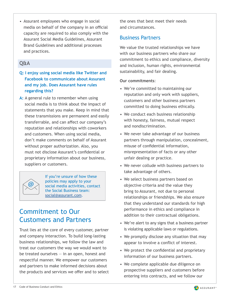<span id="page-16-0"></span>• Assurant employees who engage in social media on behalf of the company in an official capacity are required to also comply with the Assurant Social Media Guidelines, Assurant Brand Guidelines and additional processes and practices.

#### Q&A

- **Q: I enjoy using social media like Twitter and Facebook to communicate about Assurant and my job. Does Assurant have rules regarding this?**
- A: A general rule to remember when using social media is to think about the impact of statements that you make. Keep in mind that these transmissions are permanent and easily transferrable, and can affect our company's reputation and relationships with coworkers and customers. When using social media, don't make comments on behalf of Assurant without proper authorization. Also, you must not disclose Assurant's confidential or proprietary information about our business, suppliers or customers.



If you're unsure of how these policies may apply to your social media activities, contact the Social Business team: [social@assurant.com](mailto:social%40assurant.com?subject=).

### Commitment to Our Customers and Partners

Trust lies at the core of every customer, partner and company interaction. To build long-lasting business relationships, we follow the law and treat our customers the way we would want to be treated ourselves  $-$  in an open, honest and respectful manner. We empower our customers and partners to make informed decisions about the products and services we offer and to select the ones that best meet their needs and circumstances.

#### Business Partners

We value the trusted relationships we have with our business partners who share our commitment to ethics and compliance, diversity and inclusion, human rights, environmental sustainability, and fair dealing.

#### **Our commitments**:

- We're committed to maintaining our reputation and only work with suppliers, customers and other business partners committed to doing business ethically.
- We conduct each business relationship with honesty, fairness, mutual respect and nondiscrimination.
- We never take advantage of our business partners through manipulation, concealment, misuse of confidential information, misrepresentation of facts or any other unfair dealing or practice.
- We never collude with business partners to take advantage of others.
- We select business partners based on objective criteria and the value they bring to Assurant, not due to personal relationships or friendships. We also ensure that they understand our standards for high performance in ethics and compliance in addition to their contractual obligations.
- We're alert to any signs that a business partner is violating applicable laws or regulations.
- We promptly disclose any situation that may appear to involve a conflict of interest.
- We protect the confidential and proprietary information of our business partners.
- We complete applicable due diligence on prospective suppliers and customers before entering into contracts, and we follow our

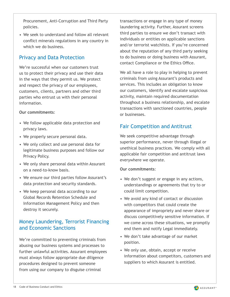<span id="page-17-0"></span>Procurement, Anti-Corruption and Third Party policies.

• We seek to understand and follow all relevant conflict minerals regulations in any country in which we do business.

#### Privacy and Data Protection

We're successful when our customers trust us to protect their privacy and use their data in the ways that they permit us. We protect and respect the privacy of our employees, customers, clients, partners and other third parties who entrust us with their personal information.

#### **Our commitments**:

- We follow applicable data protection and privacy laws.
- We properly secure personal data.
- We only collect and use personal data for legitimate business purposes and follow our Privacy Policy.
- We only share personal data within Assurant on a need-to-know basis.
- We ensure our third parties follow Assurant's data protection and security standards.
- We keep personal data according to our Global Records Retention Schedule and Information Management Policy and then destroy it securely.

#### Money Laundering, Terrorist Financing and Economic Sanctions

We're committed to preventing criminals from abusing our business systems and processes to further unlawful activities. Assurant employees must always follow appropriate due diligence procedures designed to prevent someone from using our company to disguise criminal

transactions or engage in any type of money laundering activity. Further, Assurant screens third parties to ensure we don't transact with individuals or entities on applicable sanctions and/or terrorist watchlists. If you're concerned about the reputation of any third party seeking to do business or doing business with Assurant, contact Compliance or the Ethics Office.

We all have a role to play in helping to prevent criminals from using Assurant's products and services. This includes an obligation to know our customers, identify and escalate suspicious activity, maintain required documentation throughout a business relationship, and escalate transactions with sanctioned countries, people or businesses.

### Fair Competition and Antitrust

We seek competitive advantage through superior performance, never through illegal or unethical business practices. We comply with all applicable fair competition and antitrust laws everywhere we operate.

#### **Our commitments**:

- We don't suggest or engage in any actions, understandings or agreements that try to or could limit competition.
- We avoid any kind of contact or discussion with competitors that could create the appearance of impropriety and never share or discuss competitively sensitive information. If we come across these situations, we promptly end them and notify Legal immediately.
- We don't take advantage of our market position.
- We only use, obtain, accept or receive information about competitors, customers and suppliers to which Assurant is entitled.

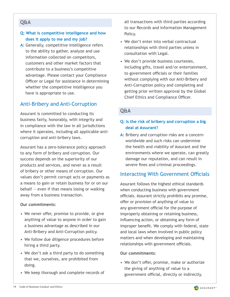#### <span id="page-18-0"></span>Q&A

#### **Q: What is competitive intelligence and how does it apply to me and my job?**

**A:** Generally, competitive intelligence refers to the ability to gather, analyze and use information collected on competitors, customers and other market factors that contribute to a business's competitive advantage. Please contact your Compliance Officer or Legal for assistance in determining whether the competitive intelligence you have is appropriate to use.

#### Anti-Bribery and Anti-Corruption

Assurant is committed to conducting its business fairly, honorably, with integrity and in compliance with the law in all jurisdictions where it operates, including all applicable anticorruption and anti-bribery laws.

Assurant has a zero-tolerance policy approach to any form of bribery and corruption. Our success depends on the superiority of our products and services, and never as a result of bribery or other means of corruption. Our values don't permit corrupt acts or payments as a means to gain or retain business for or on our behalf  $-$  even if that means losing or walking away from a business transaction.

#### **Our commitments**:

- We never offer, promise to provide, or give anything of value to anyone in order to gain a business advantage as described in our Anti-Bribery and Anti-Corruption policy.
- We follow due diligence procedures before hiring a third party.
- We don't ask a third party to do something that we, ourselves, are prohibited from doing.
- We keep thorough and complete records of

all transactions with third parties according to our Records and Information Management Policy.

- We don't enter into verbal contractual relationships with third parties unless in consultation with Legal.
- We don't provide business courtesies, including gifts, travel and/or entertainment, to government officials or their families without complying with our Anti-Bribery and Anti-Corruption policy and completing and getting prior written approval by the Global Chief Ethics and Compliance Officer.

#### Q&A

#### **Q: Is the risk of bribery and corruption a big deal at Assurant?**

**A:** Bribery and corruption risks are a concern worldwide and such risks can undermine the health and viability of Assurant and the environments where we operate, can greatly damage our reputation, and can result in severe fines and criminal proceedings.

#### Interacting With Government Officials

Assurant follows the highest ethical standards when conducting business with government officials. Assurant strictly prohibits any promise, offer or provision of anything of value to any government official for the purpose of improperly obtaining or retaining business, influencing action, or obtaining any form of improper benefit. We comply with federal, state and local laws when involved in public policy matters and when developing and maintaining relationships with government officials.

#### **Our commitments**:

• We don't offer, promise, make or authorize the giving of anything of value to a government official, directly or indirectly,

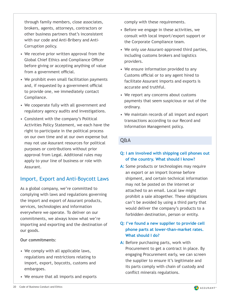<span id="page-19-0"></span>through family members, close associates, brokers, agents, attorneys, contractors or other business partners that's inconsistent with our code and Anti-Bribery and Anti-Corruption policy.

- We receive prior written approval from the Global Chief Ethics and Compliance Officer before giving or accepting anything of value from a government official.
- We prohibit even small facilitation payments and, if requested by a government official to provide one, we immediately contact Compliance.
- We cooperate fully with all government and regulatory agency audits and investigations.
- Consistent with the company's Political Activities Policy Statement, we each have the right to participate in the political process on our own time and at our own expense but may not use Assurant resources for political purposes or contributions without prior approval from Legal. Additional rules may apply to your line of business or role with Assurant.

#### Import, Export and Anti-Boycott Laws

As a global company, we're committed to complying with laws and regulations governing the import and export of Assurant products, services, technologies and information everywhere we operate. To deliver on our commitments, we always know what we're importing and exporting and the destination of our goods.

#### **Our commitments**:

- We comply with all applicable laws, regulations and restrictions relating to import, export, boycotts, customs and embargoes.
- We ensure that all imports and exports

comply with these requirements.

- Before we engage in these activities, we consult with local import/export support or the Corporate Compliance team.
- We only use Assurant-approved third parties, including customs brokers and logistics providers.
- We ensure information provided to any Customs official or to any agent hired to facilitate Assurant imports and exports is accurate and truthful.
- We report any concerns about customs payments that seem suspicious or out of the ordinary.
- We maintain records of all import and export transactions according to our Record and Information Management policy.

#### Q&A

#### **Q: I am involved with shipping cell phones out of the country. What should I know?**

A: Some products or technologies may require an export or an import license before shipment, and certain technical information may not be posted on the internet or attached to an email. Local law might prohibit a sale altogether. These obligations can't be avoided by using a third party that would deliver the company's products to a forbidden destination, person or entity.

#### **Q: I've found a new supplier to provide cell phone parts at lower-than-market rates. What should I do?**

**A:** Before purchasing parts, work with Procurement to get a contract in place. By engaging Procurement early, we can screen the supplier to ensure it's legitimate and its parts comply with chain of custody and conflict minerals regulations.

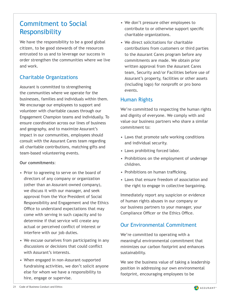### <span id="page-20-0"></span>Commitment to Social Responsibility

We have the responsibility to be a good global citizen, to be good stewards of the resources entrusted to us and to leverage our success in order strengthen the communities where we live and work.

### Charitable Organizations

Assurant is committed to strengthening the communities where we operate for the businesses, families and individuals within them. We encourage our employees to support and volunteer with charitable causes through our Engagement Champion teams and individually. To ensure coordination across our lines of business and geography, and to maximize Assurant's impact in our communities, employees should consult with the Assurant Cares team regarding all charitable contributions, matching gifts and team-based volunteering events.

#### **Our commitments**:

- Prior to agreeing to serve on the board of directors of any company or organization (other than an Assurant-owned company), we discuss it with our manager, and seek approval from the Vice President of Social Responsibility and Engagement and the Ethics Office to understand expectations that may come with serving in such capacity and to determine if that service will create any actual or perceived conflict of interest or interfere with our job duties.
- We excuse ourselves from participating in any discussions or decisions that could conflict with Assurant's interests.
- When engaged in non-Assurant-supported fundraising activities, we don't solicit anyone else for whom we have a responsibility to hire, engage or supervise.
- We don't pressure other employees to contribute to or otherwise support specific charitable organizations.
- We direct solicitations for charitable contributions from customers or third parties to the Assurant Cares program before any commitments are made. We obtain prior written approval from the Assurant Cares team, Security and/or Facilities before use of Assurant's property, facilities or other assets (including logo) for nonprofit or pro bono events.

#### Human Rights

We're committed to respecting the human rights and dignity of everyone. We comply with and value our business partners who share a similar commitment to:

- Laws that promote safe working conditions and individual security.
- Laws prohibiting forced labor.
- Prohibitions on the employment of underage children.
- Prohibitions on human trafficking.
- Laws that ensure freedom of association and the right to engage in collective bargaining.

Immediately report any suspicion or evidence of human rights abuses in our company or our business partners to your manager, your Compliance Officer or the Ethics Office.

#### Our Environmental Commitment

We're committed to operating with a meaningful environmental commitment that minimizes our carbon footprint and enhances sustainability.

We see the business value of taking a leadership position in addressing our own environmental footprint, encouraging employees to be

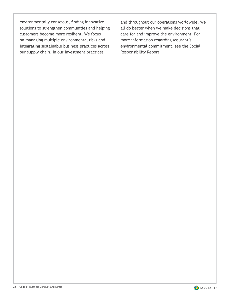environmentally conscious, finding innovative solutions to strengthen communities and helping customers become more resilient. We focus on managing multiple environmental risks and integrating sustainable business practices across our supply chain, in our investment practices

and throughout our operations worldwide. We all do better when we make decisions that care for and improve the environment. For more information regarding Assurant's environmental commitment, see the Social Responsibility Report.

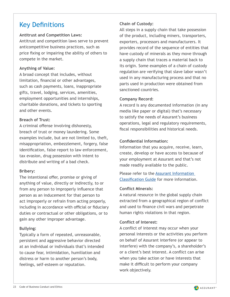### <span id="page-22-0"></span>Key Definitions

#### **Antitrust and Competition Laws:**

Antitrust and competition laws serve to prevent anticompetitive business practices, such as price fixing or impairing the ability of others to compete in the market.

#### **Anything of Value:**

A broad concept that includes, without limitation, financial or other advantages, such as cash payments, loans, inappropriate gifts, travel, lodging, services, amenities, employment opportunities and internships, charitable donations, and tickets to sporting and other events.

#### **Breach of Trust:**

A criminal offense involving dishonesty, breach of trust or money laundering. Some examples include, but are not limited to, theft, misappropriation, embezzlement, forgery, false identification, false report to law enforcement, tax evasion, drug possession with intent to distribute and writing of a bad check.

#### **Bribery:**

The intentional offer, promise or giving of anything of value, directly or indirectly, to or from any person to improperly influence that person as an inducement for that person to act improperly or refrain from acting properly, including in accordance with official or fiduciary duties or contractual or other obligations, or to gain any other improper advantage.

#### **Bullying:**

Typically a form of repeated, unreasonable, persistent and aggressive behavior directed at an individual or individuals that's intended to cause fear, intimidation, humiliation and distress or harm to another person's body, feelings, self-esteem or reputation.

#### **Chain of Custody:**

All steps in a supply chain that take possession of the product, including miners, transporters, exporters, processors and manufacturers. It provides record of the sequence of entities that have custody of minerals as they move through a supply chain that traces a material back to its origin. Some examples of a chain of custody regulation are verifying that slave labor wasn't used in any manufacturing process and that no parts used in production were obtained from sanctioned countries.

#### **Company Record:**

A record is any documented information (in any media like paper or digital) that's necessary to satisfy the needs of Assurant's business operations, legal and regulatory requirements, fiscal responsibilities and historical needs.

#### **Confidential Information:**

Information that you acquire, receive, learn, create, develop or have access to because of your employment at Assurant and that's not made readily available to the public.

Please refer to the [Assurant Information](https://assurantconnects.sharepoint.com/teams/Compliance/Information-Risk-Compliance-Office/Custom Page Library/Information Classification Guide.aspx)  [Classification Guide](https://assurantconnects.sharepoint.com/teams/Compliance/Information-Risk-Compliance-Office/Custom Page Library/Information Classification Guide.aspx) for more information.

#### **Conflict Minerals:**

A natural resource in the global supply chain extracted from a geographical region of conflict and used to finance civil wars and perpetrate human rights violations in that region.

#### **Conflict of Interest:**

A conflict of interest may occur when your personal interests or the activities you perform on behalf of Assurant interfere (or appear to interfere) with the company's, a shareholder's or a client's best interest. A conflict can arise when you take action or have interests that make it difficult to perform your company work objectively.

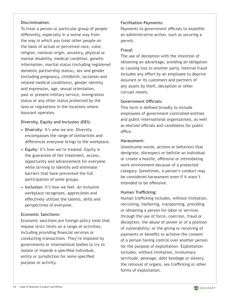#### **Discrimination:**

To treat a person or particular group of people differently, especially in a worse way from the way in which you treat other people on the basis of actual or perceived race, color, religion, national origin, ancestry, physical or mental disability, medical condition, genetic information, marital status (including registered domestic partnership status), sex and gender (including pregnancy, childbirth, lactation and related medical conditions), gender identity and expression, age, sexual orientation, past or present military service, immigration status or any other status protected by the laws or regulations in the locations where Assurant operates.

#### **Diversity, Equity and Inclusion (DEI):**

- **• Diversity**: It's who we are. Diversity encompasses the range of similarities and differences everyone brings to the workplace.
- **• Equity**: It's how we're treated. Equity is the guarantee of fair treatment, access, opportunity and advancement for everyone while striving to identify and eliminate barriers that have prevented the full participation of some groups.
- **• Inclusion**: It's how we feel. An inclusive workplace recognizes, appreciates and effectively utilizes the talents, skills and perspectives of everyone.

#### **Economic Sanctions:**

Economic sanctions are foreign policy tools that impose strict limits on a range of activities, including providing financial services or conducting transactions. They're imposed by governments or international bodies to try to isolate or impede a specified individual, entity or jurisdiction for some specified purpose or activity.

#### **Facilitation Payments:**

Payments to government officials to expedite an administrative action, such as securing a permit.

#### **Fraud:**

The use of deception with the intention of obtaining an advantage, avoiding an obligation or causing loss to another party. Internal fraud includes any effort by an employee to deprive Assurant or its customers and partners of any assets by theft, deception or other corrupt means.

#### **Government Officials:**

This term is defined broadly to include employees of government-controlled entities and public-international organizations, as well as elected officials and candidates for public office.

#### **Harassment:**

Unwelcome words, actions or behaviors that denigrate, disrespect or belittle an individual or create a hostile, offensive or intimidating work environment because of a protected category. Sometimes, a person's conduct may be considered harassment even if it wasn't intended to be offensive.

#### **Human Trafficking:**

Human trafficking includes, without limitation, recruiting, harboring, transporting, providing or obtaining a person for labor or services through the use of force, coercion, fraud or deception; the abuse of power or of a position of vulnerability; or the giving or receiving of payments or benefits to achieve the consent of a person having control over another person for the purpose of exploitation. Exploitation includes, without limitation, involuntary servitude, peonage, debt bondage or slavery, the removal of organs, sex trafficking or other forms of exploitation.

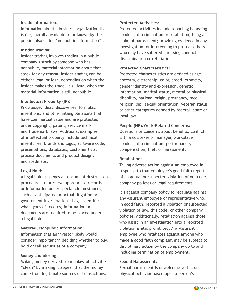#### **Inside Information:**

Information about a business organization that isn't generally available to or known by the public (also called "nonpublic information").

#### **Insider Trading:**

Insider trading involves trading in a public company's stock by someone who has nonpublic, material information about that stock for any reason. Insider trading can be either illegal or legal depending on when the insider makes the trade. It's illegal when the material information is still nonpublic.

#### **Intellectual Property (IP):**

Knowledge, ideas, discoveries, formulas, inventions, and other intangible assets that have commercial value and are protected under copyright, patent, service mark and trademark laws. Additional examples of intellectual property include technical inventories, brands and logos, software code, presentations, databases, customer lists, process documents and product designs and roadmaps.

#### **Legal Hold:**

A legal hold suspends all document destruction procedures to preserve appropriate records or information under special circumstances, such as anticipated or actual litigation or government investigations. Legal identifies what types of records, information or documents are required to be placed under a legal hold.

#### **Material, Nonpublic Information:**

Information that an investor likely would consider important in deciding whether to buy, hold or sell securities of a company.

#### **Money Laundering:**

Making money derived from unlawful activities "clean" by making it appear that the money came from legitimate sources or transactions.

#### **Protected Activities:**

Protected activities include reporting harassing conduct, discrimination or retaliation; filing a claim of harassment; providing evidence in any investigation; or intervening to protect others who may have suffered harassing conduct, discrimination or retaliation.

#### **Protected Characteristics:**

Protected characteristics are defined as age, ancestry, citizenship, color, creed, ethnicity, gender identity and expression, genetic information, marital status, mental or physical disability, national origin, pregnancy, race, religion, sex, sexual orientation, veteran status or other categories defined by federal, state or local law.

#### **People (HR)/Work-Related Concerns:**

Questions or concerns about benefits, conflict with a coworker or manager, workplace conduct, discrimination, performance, compensation, theft or harassment.

#### **Retaliation:**

Taking adverse action against an employee in response to that employee's good faith report of an actual or suspected violation of our code, company policies or legal requirements.

It's against company policy to retaliate against any Assurant employee or representative who, in good faith, reported a violation or suspected violation of law, this code, or other company policies. Additionally, retaliation against those who assist in an investigation into a reported violation is also prohibited. Any Assurant employee who retaliates against anyone who made a good faith complaint may be subject to disciplinary action by the company up to and including termination of employment.

#### **Sexual Harassment:**

Sexual harassment is unwelcome verbal or physical behavior based upon a person's